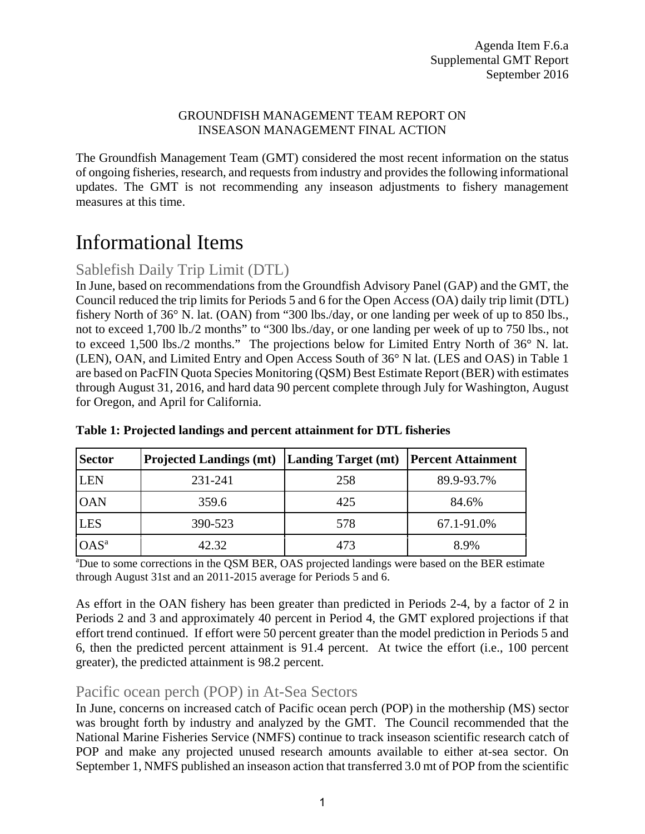#### GROUNDFISH MANAGEMENT TEAM REPORT ON INSEASON MANAGEMENT FINAL ACTION

The Groundfish Management Team (GMT) considered the most recent information on the status of ongoing fisheries, research, and requests from industry and provides the following informational updates. The GMT is not recommending any inseason adjustments to fishery management measures at this time.

# Informational Items

## Sablefish Daily Trip Limit (DTL)

In June, based on recommendations from the Groundfish Advisory Panel (GAP) and the GMT, the Council reduced the trip limits for Periods 5 and 6 for the Open Access (OA) daily trip limit (DTL) fishery North of 36° N. lat. (OAN) from "300 lbs./day, or one landing per week of up to 850 lbs., not to exceed 1,700 lb./2 months" to "300 lbs./day, or one landing per week of up to 750 lbs., not to exceed 1,500 lbs./2 months." The projections below for Limited Entry North of 36° N. lat. (LEN), OAN, and Limited Entry and Open Access South of 36° N lat. (LES and OAS) in Table 1 are based on PacFIN Quota Species Monitoring (QSM) Best Estimate Report (BER) with estimates through August 31, 2016, and hard data 90 percent complete through July for Washington, August for Oregon, and April for California.

| <b>Sector</b>    | <b>Projected Landings (mt) Landing Target (mt)</b> |     | <b>Percent Attainment</b> |
|------------------|----------------------------------------------------|-----|---------------------------|
| <b>LEN</b>       | 231-241                                            | 258 | 89.9-93.7%                |
| <b>OAN</b>       | 359.6                                              | 425 | 84.6%                     |
| <b>LES</b>       | 390-523                                            | 578 | 67.1-91.0%                |
| OAS <sup>a</sup> | 42.32                                              | 473 | 8.9%                      |

### **Table 1: Projected landings and percent attainment for DTL fisheries**

<sup>a</sup>Due to some corrections in the QSM BER, OAS projected landings were based on the BER estimate through August 31st and an 2011-2015 average for Periods 5 and 6.

As effort in the OAN fishery has been greater than predicted in Periods 2-4, by a factor of 2 in Periods 2 and 3 and approximately 40 percent in Period 4, the GMT explored projections if that effort trend continued. If effort were 50 percent greater than the model prediction in Periods 5 and 6, then the predicted percent attainment is 91.4 percent. At twice the effort (i.e., 100 percent greater), the predicted attainment is 98.2 percent.

## Pacific ocean perch (POP) in At-Sea Sectors

In June, concerns on increased catch of Pacific ocean perch (POP) in the mothership (MS) sector was brought forth by industry and analyzed by the GMT. The Council recommended that the National Marine Fisheries Service (NMFS) continue to track inseason scientific research catch of POP and make any projected unused research amounts available to either at-sea sector. On September 1, NMFS published an inseason action that transferred 3.0 mt of POP from the scientific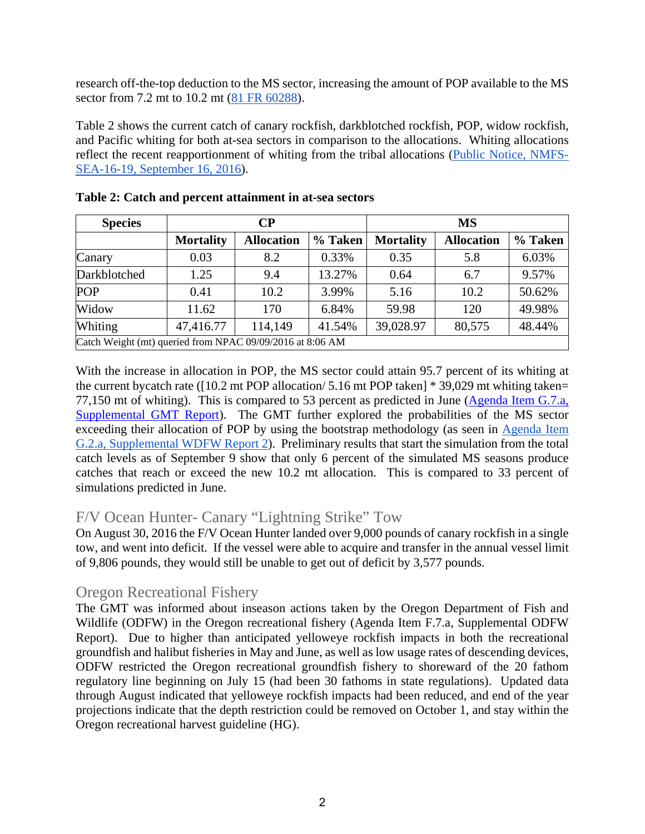research off-the-top deduction to the MS sector, increasing the amount of POP available to the MS sector from 7.2 mt to 10.2 mt (81 FR 60288).

Table 2 shows the current catch of canary rockfish, darkblotched rockfish, POP, widow rockfish, and Pacific whiting for both at-sea sectors in comparison to the allocations. Whiting allocations reflect the recent reapportionment of whiting from the tribal allocations (Public Notice, NMFS-SEA-16-19, September 16, 2016).

| <b>Species</b>                                            |                  | $\bf CP$          |         | <b>MS</b>        |                   |         |  |  |  |  |  |
|-----------------------------------------------------------|------------------|-------------------|---------|------------------|-------------------|---------|--|--|--|--|--|
|                                                           | <b>Mortality</b> | <b>Allocation</b> | % Taken | <b>Mortality</b> | <b>Allocation</b> | % Taken |  |  |  |  |  |
| Canary                                                    | 0.03             | 8.2               | 0.33%   | 0.35             | 5.8               | 6.03%   |  |  |  |  |  |
| Darkblotched                                              | 1.25             | 9.4               | 13.27%  | 0.64             | 6.7               | 9.57%   |  |  |  |  |  |
| <b>POP</b>                                                | 0.41             | 10.2              | 3.99%   | 5.16             | 10.2              | 50.62%  |  |  |  |  |  |
| Widow                                                     | 11.62            | 170               | 6.84%   | 59.98            | 120               | 49.98%  |  |  |  |  |  |
| Whiting                                                   | 47,416.77        | 114,149           | 41.54%  | 39,028.97        | 80,575            | 48.44%  |  |  |  |  |  |
| Catch Weight (mt) queried from NPAC 09/09/2016 at 8:06 AM |                  |                   |         |                  |                   |         |  |  |  |  |  |

**Table 2: Catch and percent attainment in at-sea sectors** 

With the increase in allocation in POP, the MS sector could attain 95.7 percent of its whiting at the current bycatch rate ( $[10.2 \text{ mt}$  POP allocation/ 5.16 mt POP taken] \* 39,029 mt whiting taken= 77,150 mt of whiting). This is compared to 53 percent as predicted in June (Agenda Item G.7.a, Supplemental GMT Report). The GMT further explored the probabilities of the MS sector exceeding their allocation of POP by using the bootstrap methodology (as seen in Agenda Item G.2.a, Supplemental WDFW Report 2). Preliminary results that start the simulation from the total catch levels as of September 9 show that only 6 percent of the simulated MS seasons produce catches that reach or exceed the new 10.2 mt allocation. This is compared to 33 percent of simulations predicted in June.

## F/V Ocean Hunter- Canary "Lightning Strike" Tow

On August 30, 2016 the F/V Ocean Hunter landed over 9,000 pounds of canary rockfish in a single tow, and went into deficit. If the vessel were able to acquire and transfer in the annual vessel limit of 9,806 pounds, they would still be unable to get out of deficit by 3,577 pounds.

## Oregon Recreational Fishery

The GMT was informed about inseason actions taken by the Oregon Department of Fish and Wildlife (ODFW) in the Oregon recreational fishery (Agenda Item F.7.a, Supplemental ODFW Report). Due to higher than anticipated yelloweye rockfish impacts in both the recreational groundfish and halibut fisheries in May and June, as well as low usage rates of descending devices, ODFW restricted the Oregon recreational groundfish fishery to shoreward of the 20 fathom regulatory line beginning on July 15 (had been 30 fathoms in state regulations). Updated data through August indicated that yelloweye rockfish impacts had been reduced, and end of the year projections indicate that the depth restriction could be removed on October 1, and stay within the Oregon recreational harvest guideline (HG).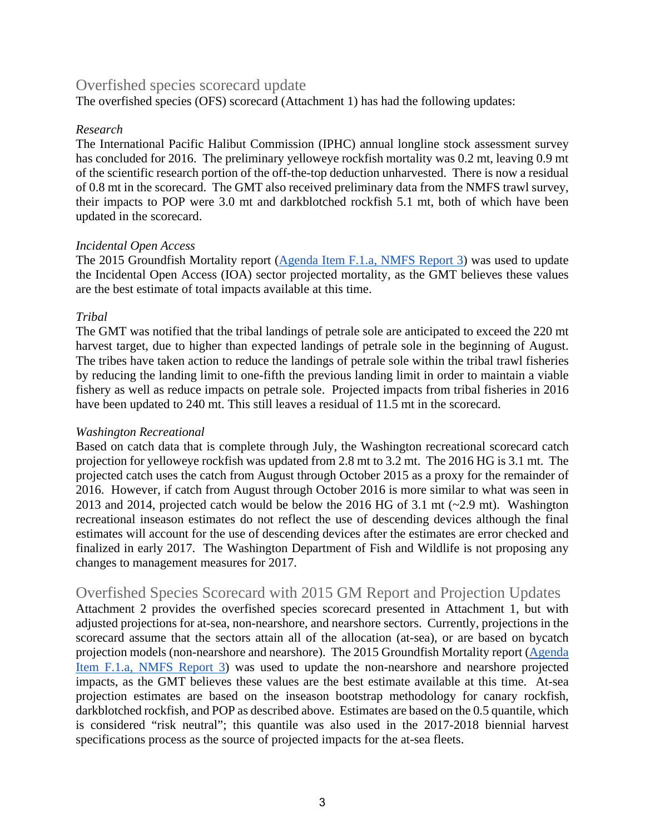## Overfished species scorecard update

The overfished species (OFS) scorecard (Attachment 1) has had the following updates:

#### *Research*

The International Pacific Halibut Commission (IPHC) annual longline stock assessment survey has concluded for 2016. The preliminary yelloweye rockfish mortality was 0.2 mt, leaving 0.9 mt of the scientific research portion of the off-the-top deduction unharvested. There is now a residual of 0.8 mt in the scorecard. The GMT also received preliminary data from the NMFS trawl survey, their impacts to POP were 3.0 mt and darkblotched rockfish 5.1 mt, both of which have been updated in the scorecard.

#### *Incidental Open Access*

The 2015 Groundfish Mortality report (Agenda Item F.1.a, NMFS Report 3) was used to update the Incidental Open Access (IOA) sector projected mortality, as the GMT believes these values are the best estimate of total impacts available at this time.

#### *Tribal*

The GMT was notified that the tribal landings of petrale sole are anticipated to exceed the 220 mt harvest target, due to higher than expected landings of petrale sole in the beginning of August. The tribes have taken action to reduce the landings of petrale sole within the tribal trawl fisheries by reducing the landing limit to one-fifth the previous landing limit in order to maintain a viable fishery as well as reduce impacts on petrale sole. Projected impacts from tribal fisheries in 2016 have been updated to 240 mt. This still leaves a residual of 11.5 mt in the scorecard.

#### *Washington Recreational*

Based on catch data that is complete through July, the Washington recreational scorecard catch projection for yelloweye rockfish was updated from 2.8 mt to 3.2 mt. The 2016 HG is 3.1 mt. The projected catch uses the catch from August through October 2015 as a proxy for the remainder of 2016. However, if catch from August through October 2016 is more similar to what was seen in 2013 and 2014, projected catch would be below the 2016 HG of 3.1 mt (~2.9 mt). Washington recreational inseason estimates do not reflect the use of descending devices although the final estimates will account for the use of descending devices after the estimates are error checked and finalized in early 2017. The Washington Department of Fish and Wildlife is not proposing any changes to management measures for 2017.

## Overfished Species Scorecard with 2015 GM Report and Projection Updates

Attachment 2 provides the overfished species scorecard presented in Attachment 1, but with adjusted projections for at-sea, non-nearshore, and nearshore sectors. Currently, projections in the scorecard assume that the sectors attain all of the allocation (at-sea), or are based on bycatch projection models (non-nearshore and nearshore). The 2015 Groundfish Mortality report (Agenda Item F.1.a, NMFS Report 3) was used to update the non-nearshore and nearshore projected impacts, as the GMT believes these values are the best estimate available at this time. At-sea projection estimates are based on the inseason bootstrap methodology for canary rockfish, darkblotched rockfish, and POP as described above. Estimates are based on the 0.5 quantile, which is considered "risk neutral"; this quantile was also used in the 2017-2018 biennial harvest specifications process as the source of projected impacts for the at-sea fleets.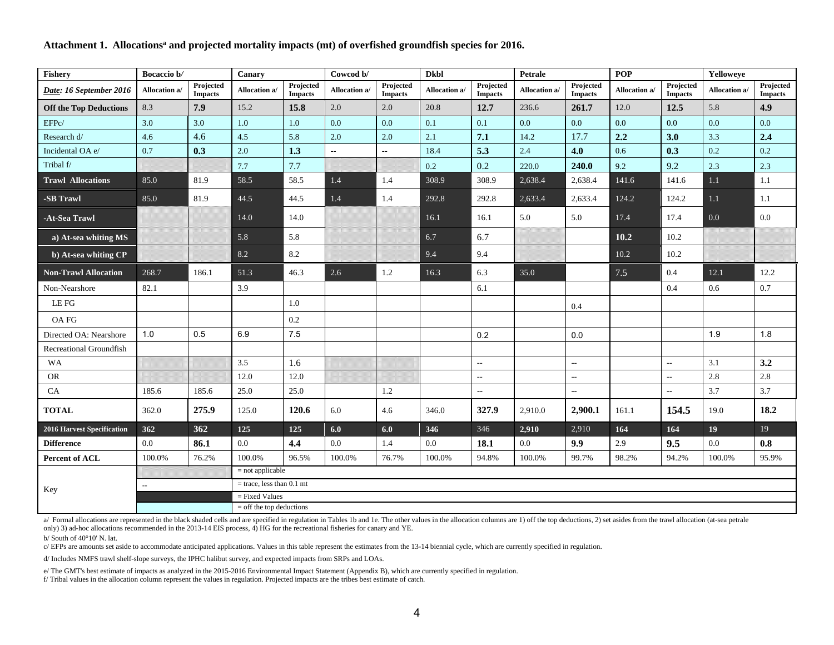| Fishery                       | Bocaccio b/<br>Canary |                             | Cowcod b/                                      |                             | <b>Dkbl</b>   |                             | <b>Petrale</b> |                             | <b>POP</b>    |                             | Yelloweye     |                             |               |                             |
|-------------------------------|-----------------------|-----------------------------|------------------------------------------------|-----------------------------|---------------|-----------------------------|----------------|-----------------------------|---------------|-----------------------------|---------------|-----------------------------|---------------|-----------------------------|
| Date: 16 September 2016       | Allocation a/         | Projected<br><b>Impacts</b> | Allocation a/                                  | Projected<br><b>Impacts</b> | Allocation a/ | Projected<br><b>Impacts</b> | Allocation a/  | Projected<br><b>Impacts</b> | Allocation a/ | Projected<br><b>Impacts</b> | Allocation a/ | Projected<br><b>Impacts</b> | Allocation a/ | Projected<br><b>Impacts</b> |
| <b>Off the Top Deductions</b> | 8.3                   | 7.9                         | 15.2                                           | 15.8                        | 2.0           | 2.0                         | 20.8           | 12.7                        | 236.6         | 261.7                       | 12.0          | 12.5                        | 5.8           | 4.9                         |
| EFPc/                         | 3.0                   | 3.0                         | 1.0                                            | 1.0                         | 0.0           | 0.0                         | 0.1            | 0.1                         | 0.0           | 0.0                         | 0.0           | 0.0                         | 0.0           | 0.0                         |
| Research d/                   | 4.6                   | 4.6                         | 4.5                                            | 5.8                         | 2.0           | 2.0                         | 2.1            | 7.1                         | 14.2          | 17.7                        | 2.2           | 3.0                         | 3.3           | 2.4                         |
| Incidental OA e/              | 0.7                   | 0.3                         | 2.0                                            | 1.3                         | --            | $-$                         | 18.4           | 5.3                         | 2.4           | 4.0                         | 0.6           | 0.3                         | 0.2           | 0.2                         |
| Tribal f/                     |                       |                             | $7.7\,$                                        | 7.7                         |               |                             | 0.2            | 0.2                         | 220.0         | 240.0                       | 9.2           | 9.2                         | 2.3           | 2.3                         |
| <b>Trawl Allocations</b>      | 85.0                  | 81.9                        | 58.5                                           | 58.5                        | $1.4\,$       | 1.4                         | 308.9          | 308.9                       | 2,638.4       | 2,638.4                     | 141.6         | 141.6                       | $1.1\,$       | 1.1                         |
| -SB Trawl                     | 85.0                  | 81.9                        | 44.5                                           | 44.5                        | $1.4$         | 1.4                         | 292.8          | 292.8                       | 2,633.4       | 2,633.4                     | 124.2         | 124.2                       | $1.1\,$       | 1.1                         |
| -At-Sea Trawl                 |                       |                             | 14.0                                           | 14.0                        |               |                             | 16.1           | 16.1                        | 5.0           | 5.0                         | 17.4          | 17.4                        | 0.0           | 0.0                         |
| a) At-sea whiting MS          |                       |                             | 5.8                                            | 5.8                         |               |                             | 6.7            | 6.7                         |               |                             | 10.2          | 10.2                        |               |                             |
| b) At-sea whiting CP          |                       |                             | 8.2                                            | 8.2                         |               |                             | 9.4            | 9.4                         |               |                             | 10.2          | 10.2                        |               |                             |
| <b>Non-Trawl Allocation</b>   | 268.7                 | 186.1                       | 51.3                                           | 46.3                        | 2.6           | 1.2                         | 16.3           | 6.3                         | 35.0          |                             | $7.5$         | 0.4                         | 12.1          | 12.2                        |
| Non-Nearshore                 | 82.1                  |                             | 3.9                                            |                             |               |                             |                | 6.1                         |               |                             |               | 0.4                         | 0.6           | 0.7                         |
| LE FG                         |                       |                             |                                                | 1.0                         |               |                             |                |                             |               | 0.4                         |               |                             |               |                             |
| <b>OAFG</b>                   |                       |                             |                                                | 0.2                         |               |                             |                |                             |               |                             |               |                             |               |                             |
| Directed OA: Nearshore        | 1.0                   | 0.5                         | 6.9                                            | 7.5                         |               |                             |                | 0.2                         |               | 0.0                         |               |                             | 1.9           | 1.8                         |
| Recreational Groundfish       |                       |                             |                                                |                             |               |                             |                |                             |               |                             |               |                             |               |                             |
| WA                            |                       |                             | 3.5                                            | 1.6                         |               |                             |                | $\overline{\phantom{a}}$    |               | $\overline{a}$              |               | $\sim$                      | 3.1           | 3.2                         |
| <b>OR</b>                     |                       |                             | 12.0                                           | 12.0                        |               |                             |                | $\overline{a}$              |               | $\overline{\phantom{a}}$    |               | $\sim$                      | 2.8           | $2.8\,$                     |
| ${\rm CA}$                    | 185.6                 | 185.6                       | 25.0                                           | 25.0                        |               | 1.2                         |                | $\overline{\phantom{a}}$    |               | $\overline{a}$              |               | $\sim$                      | 3.7           | 3.7                         |
| <b>TOTAL</b>                  | 362.0                 | 275.9                       | 125.0                                          | 120.6                       | 6.0           | 4.6                         | 346.0          | 327.9                       | 2,910.0       | 2,900.1                     | 161.1         | 154.5                       | 19.0          | 18.2                        |
| 2016 Harvest Specification    | 362                   | 362                         | 125                                            | 125                         | 6.0           | 6.0                         | 346            | 346                         | 2,910         | 2,910                       | 164           | 164                         | 19            | 19                          |
| <b>Difference</b>             | 0.0                   | 86.1                        | 0.0                                            | 4.4                         | 0.0           | 1.4                         | $0.0\,$        | 18.1                        | 0.0           | 9.9                         | 2.9           | 9.5                         | 0.0           | 0.8                         |
| <b>Percent of ACL</b>         | 100.0%                | 76.2%                       | 100.0%                                         | 96.5%                       | 100.0%        | 76.7%                       | 100.0%         | 94.8%                       | 100.0%        | 99.7%                       | 98.2%         | 94.2%                       | 100.0%        | 95.9%                       |
| Key                           |                       |                             | $=$ not applicable                             |                             |               |                             |                |                             |               |                             |               |                             |               |                             |
|                               | $\sim$                |                             | $=$ trace, less than 0.1 mt                    |                             |               |                             |                |                             |               |                             |               |                             |               |                             |
|                               |                       |                             | $=$ Fixed Values<br>$=$ off the top deductions |                             |               |                             |                |                             |               |                             |               |                             |               |                             |

#### Attachment 1. Allocations<sup>a</sup> and projected mortality impacts (mt) of overfished groundfish species for 2016.

a/ Formal allocations are represented in the black shaded cells and are specified in regulation in Tables 1b and 1e. The other values in the allocation columns are 1) off the top deductions, 2) set asides from the trawl al only) 3) ad-hoc allocations recommended in the 2013-14 EIS process, 4) HG for the recreational fisheries for canary and YE.

b/ South of 40°10' N. lat.

c/ EFPs are amounts set aside to accommodate anticipated applications. Values in this table represent the estimates from the 13-14 biennial cycle, which are currently specified in regulation.

d/ Includes NMFS trawl shelf-slope surveys, the IPHC halibut survey, and expected impacts from SRPs and LOAs.

e/ The GMT's best estimate of impacts as analyzed in the 2015-2016 Environmental Impact Statement (Appendix B), which are currently specified in regulation.

f/ Tribal values in the allocation column represent the values in regulation. Projected impacts are the tribes best estimate of catch.